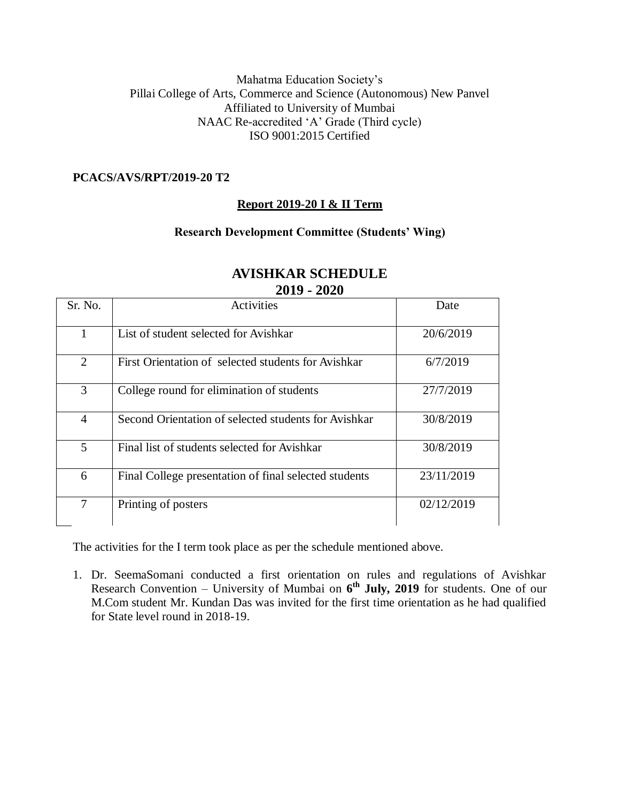### Mahatma Education Society's Pillai College of Arts, Commerce and Science (Autonomous) New Panvel Affiliated to University of Mumbai NAAC Re-accredited 'A' Grade (Third cycle) ISO 9001:2015 Certified

### **PCACS/AVS/RPT/2019-20 T2**

### **Report 2019-20 I & II Term**

### **Research Development Committee (Students' Wing)**

| Sr. No.        | Activities                                            | Date       |  |
|----------------|-------------------------------------------------------|------------|--|
| 1              | List of student selected for Avishkar                 | 20/6/2019  |  |
| 2              | First Orientation of selected students for Avishkar   | 6/7/2019   |  |
| 3              | College round for elimination of students             | 27/7/2019  |  |
| $\overline{4}$ | Second Orientation of selected students for Avishkar  | 30/8/2019  |  |
| 5              | Final list of students selected for Avishkar          | 30/8/2019  |  |
| 6              | Final College presentation of final selected students | 23/11/2019 |  |
| 7              | Printing of posters                                   | 02/12/2019 |  |

#### **AVISHKAR SCHEDULE 2019 - 2020**

The activities for the I term took place as per the schedule mentioned above.

1. Dr. SeemaSomani conducted a first orientation on rules and regulations of Avishkar Research Convention – University of Mumbai on **6 th July, 2019** for students. One of our M.Com student Mr. Kundan Das was invited for the first time orientation as he had qualified for State level round in 2018-19.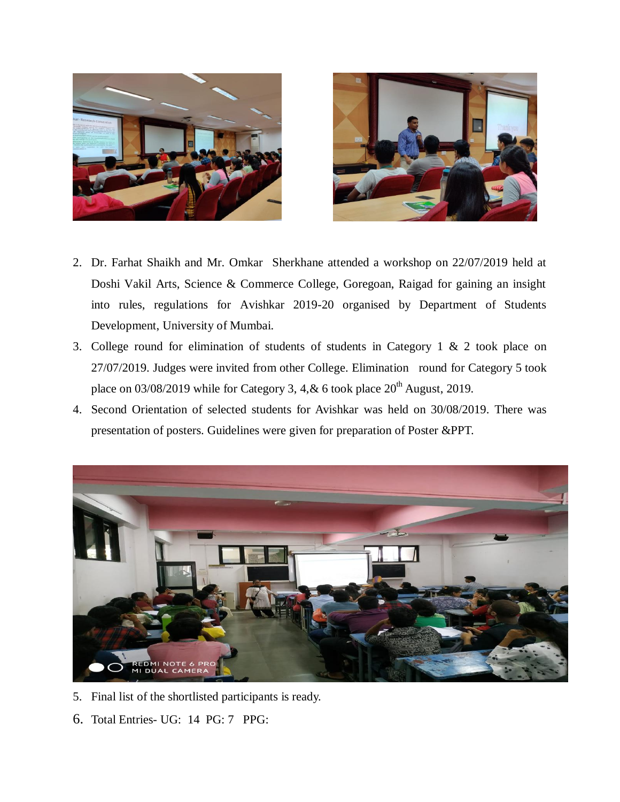



- 2. Dr. Farhat Shaikh and Mr. Omkar Sherkhane attended a workshop on 22/07/2019 held at Doshi Vakil Arts, Science & Commerce College, Goregoan, Raigad for gaining an insight into rules, regulations for Avishkar 2019-20 organised by Department of Students Development, University of Mumbai.
- 3. College round for elimination of students of students in Category 1 & 2 took place on 27/07/2019. Judges were invited from other College. Elimination round for Category 5 took place on  $03/08/2019$  while for Category 3, 4, & 6 took place  $20<sup>th</sup>$  August, 2019.
- 4. Second Orientation of selected students for Avishkar was held on 30/08/2019. There was presentation of posters. Guidelines were given for preparation of Poster &PPT.



- 5. Final list of the shortlisted participants is ready.
- 6. Total Entries- UG: 14 PG: 7 PPG: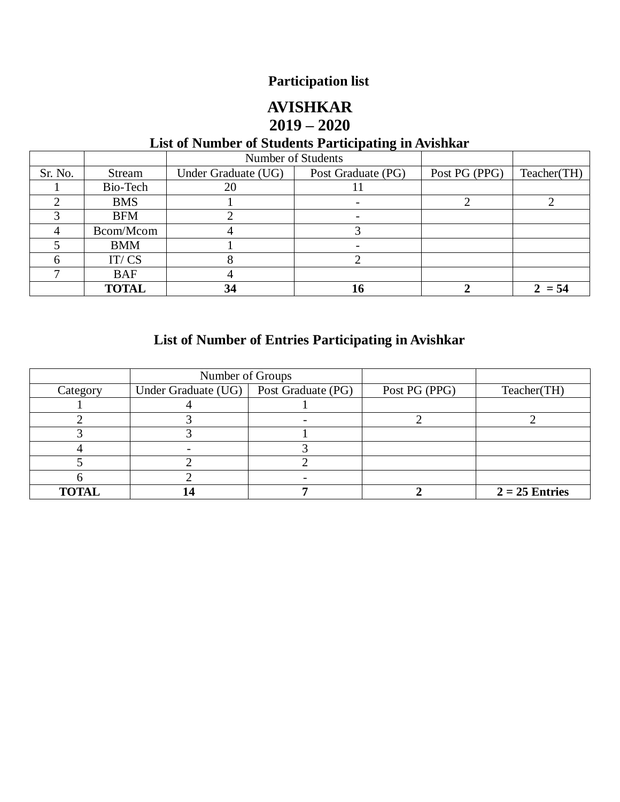# **Participation list**

### **AVISHKAR 2019 – 2020**

# **List of Number of Students Participating in Avishkar**

|         |              | Number of Students  |                    |               |             |
|---------|--------------|---------------------|--------------------|---------------|-------------|
| Sr. No. | Stream       | Under Graduate (UG) | Post Graduate (PG) | Post PG (PPG) | Teacher(TH) |
|         | Bio-Tech     | 20                  |                    |               |             |
|         | <b>BMS</b>   |                     |                    |               |             |
|         | <b>BFM</b>   |                     |                    |               |             |
|         | Bcom/Mcom    |                     |                    |               |             |
|         | <b>BMM</b>   |                     |                    |               |             |
|         | IT/CS        |                     |                    |               |             |
|         | <b>BAF</b>   |                     |                    |               |             |
|         | <b>TOTAL</b> | 34                  |                    |               | $2 = 54$    |

# **List of Number of Entries Participating in Avishkar**

|              | Number of Groups    |                    |               |                  |
|--------------|---------------------|--------------------|---------------|------------------|
| Category     | Under Graduate (UG) | Post Graduate (PG) | Post PG (PPG) | Teacher(TH)      |
|              |                     |                    |               |                  |
|              |                     |                    |               |                  |
|              |                     |                    |               |                  |
|              |                     |                    |               |                  |
|              |                     |                    |               |                  |
|              |                     |                    |               |                  |
| <b>TOTAL</b> |                     |                    |               | $2 = 25$ Entries |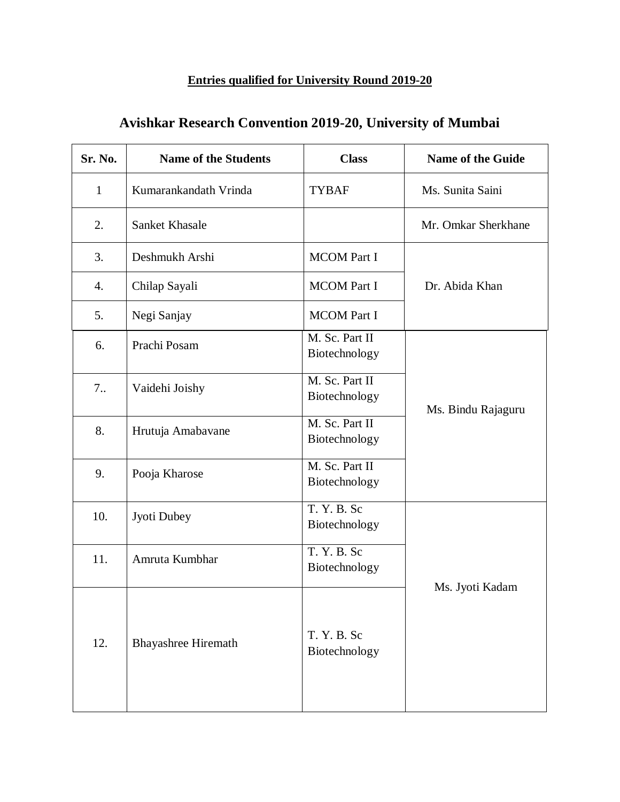### **Entries qualified for University Round 2019-20**

| Sr. No.      | <b>Name of the Students</b> | <b>Class</b>                    | <b>Name of the Guide</b> |  |
|--------------|-----------------------------|---------------------------------|--------------------------|--|
| $\mathbf{1}$ | Kumarankandath Vrinda       | <b>TYBAF</b>                    | Ms. Sunita Saini         |  |
| 2.           | Sanket Khasale              |                                 | Mr. Omkar Sherkhane      |  |
| 3.           | Deshmukh Arshi              | <b>MCOM Part I</b>              |                          |  |
| 4.           | Chilap Sayali               | <b>MCOM Part I</b>              | Dr. Abida Khan           |  |
| 5.           | Negi Sanjay                 | <b>MCOM Part I</b>              |                          |  |
| 6.           | Prachi Posam                | M. Sc. Part II<br>Biotechnology |                          |  |
| 7.           | Vaidehi Joishy              | M. Sc. Part II<br>Biotechnology |                          |  |
| 8.           | Hrutuja Amabavane           | M. Sc. Part II<br>Biotechnology | Ms. Bindu Rajaguru       |  |
| 9.           | Pooja Kharose               | M. Sc. Part II<br>Biotechnology |                          |  |
| 10.          | Jyoti Dubey                 | T. Y. B. Sc<br>Biotechnology    |                          |  |
| 11.          | Amruta Kumbhar              | T. Y. B. Sc<br>Biotechnology    |                          |  |
| 12.          | <b>Bhayashree Hiremath</b>  | T. Y. B. Sc<br>Biotechnology    | Ms. Jyoti Kadam          |  |

# **Avishkar Research Convention 2019-20, University of Mumbai**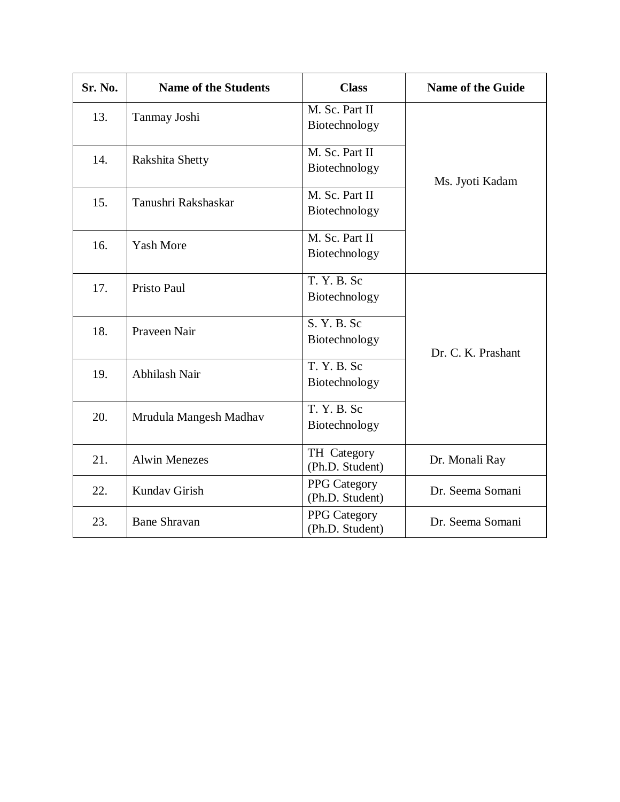| Sr. No. | <b>Name of the Students</b> | <b>Class</b>                           | <b>Name of the Guide</b> |  |
|---------|-----------------------------|----------------------------------------|--------------------------|--|
| 13.     | Tanmay Joshi                | M. Sc. Part II<br>Biotechnology        |                          |  |
| 14.     | Rakshita Shetty             | M. Sc. Part II<br>Biotechnology        | Ms. Jyoti Kadam          |  |
| 15.     | Tanushri Rakshaskar         | M. Sc. Part II<br>Biotechnology        |                          |  |
| 16.     | <b>Yash More</b>            | M. Sc. Part II<br>Biotechnology        |                          |  |
| 17.     | Pristo Paul                 | T. Y. B. Sc<br>Biotechnology           |                          |  |
| 18.     | Praveen Nair                | S. Y. B. Sc<br>Biotechnology           | Dr. C. K. Prashant       |  |
| 19.     | Abhilash Nair               | T. Y. B.<br>Biotechnology              |                          |  |
| 20.     | Mrudula Mangesh Madhav      | T. Y. B. Sc<br>Biotechnology           |                          |  |
| 21.     | <b>Alwin Menezes</b>        | TH Category<br>(Ph.D. Student)         | Dr. Monali Ray           |  |
| 22.     | Kundav Girish               | <b>PPG</b> Category<br>(Ph.D. Student) | Dr. Seema Somani         |  |
| 23.     | <b>Bane Shravan</b>         | <b>PPG</b> Category<br>(Ph.D. Student) | Dr. Seema Somani         |  |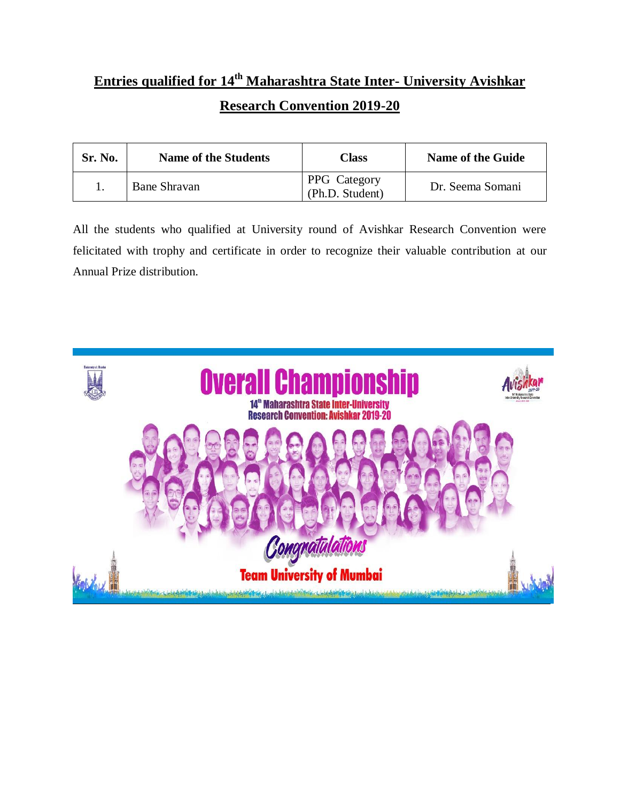# **Entries qualified for 14th Maharashtra State Inter- University Avishkar Research Convention 2019-20**

| Sr. No. | <b>Name of the Students</b> | Class                           | Name of the Guide |
|---------|-----------------------------|---------------------------------|-------------------|
|         | <b>Bane Shravan</b>         | PPG Category<br>(Ph.D. Student) | Dr. Seema Somani  |

All the students who qualified at University round of Avishkar Research Convention were felicitated with trophy and certificate in order to recognize their valuable contribution at our Annual Prize distribution.